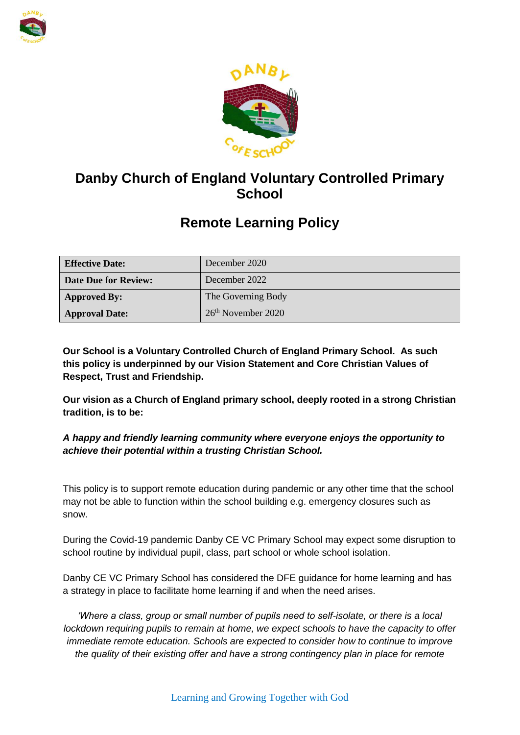



# **Danby Church of England Voluntary Controlled Primary School**

# **Remote Learning Policy**

| <b>Effective Date:</b>      | December 2020                  |
|-----------------------------|--------------------------------|
| <b>Date Due for Review:</b> | December 2022                  |
| <b>Approved By:</b>         | The Governing Body             |
| <b>Approval Date:</b>       | 26 <sup>th</sup> November 2020 |

**Our School is a Voluntary Controlled Church of England Primary School. As such this policy is underpinned by our Vision Statement and Core Christian Values of Respect, Trust and Friendship.**

**Our vision as a Church of England primary school, deeply rooted in a strong Christian tradition, is to be:**

## *A happy and friendly learning community where everyone enjoys the opportunity to achieve their potential within a trusting Christian School.*

This policy is to support remote education during pandemic or any other time that the school may not be able to function within the school building e.g. emergency closures such as snow.

During the Covid-19 pandemic Danby CE VC Primary School may expect some disruption to school routine by individual pupil, class, part school or whole school isolation.

Danby CE VC Primary School has considered the DFE guidance for home learning and has a strategy in place to facilitate home learning if and when the need arises.

*'Where a class, group or small number of pupils need to self-isolate, or there is a local lockdown requiring pupils to remain at home, we expect schools to have the capacity to offer immediate remote education. Schools are expected to consider how to continue to improve the quality of their existing offer and have a strong contingency plan in place for remote*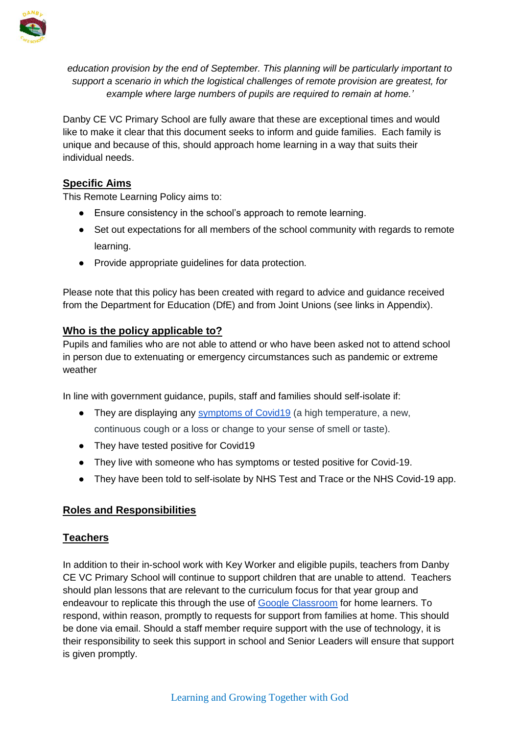

*education provision by the end of September. This planning will be particularly important to support a scenario in which the logistical challenges of remote provision are greatest, for example where large numbers of pupils are required to remain at home.'*

Danby CE VC Primary School are fully aware that these are exceptional times and would like to make it clear that this document seeks to inform and guide families. Each family is unique and because of this, should approach home learning in a way that suits their individual needs.

#### **Specific Aims**

This Remote Learning Policy aims to:

- Ensure consistency in the school's approach to remote learning.
- Set out expectations for all members of the school community with regards to remote learning.
- Provide appropriate guidelines for data protection.

Please note that this policy has been created with regard to advice and guidance received from the Department for Education (DfE) and from Joint Unions (see links in Appendix).

#### **Who is the policy applicable to?**

Pupils and families who are not able to attend or who have been asked not to attend school in person due to extenuating or emergency circumstances such as pandemic or extreme weather

In line with government guidance, pupils, staff and families should self-isolate if:

- They are displaying any [symptoms of Covid19](https://www.nhs.uk/conditions/coronavirus-covid-19/symptoms/) (a high temperature, a new, continuous cough or a loss or change to your sense of smell or taste).
- They have tested positive for Covid19
- They live with someone who has symptoms or tested positive for Covid-19.
- They have been told to self-isolate by NHS Test and Trace or the NHS Covid-19 app.

#### **Roles and Responsibilities**

#### **Teachers**

In addition to their in-school work with Key Worker and eligible pupils, teachers from Danby CE VC Primary School will continue to support children that are unable to attend. Teachers should plan lessons that are relevant to the curriculum focus for that year group and endeavour to replicate this through the use of [Google Classroom](http://classroom.google.com/) for home learners. To respond, within reason, promptly to requests for support from families at home. This should be done via email. Should a staff member require support with the use of technology, it is their responsibility to seek this support in school and Senior Leaders will ensure that support is given promptly.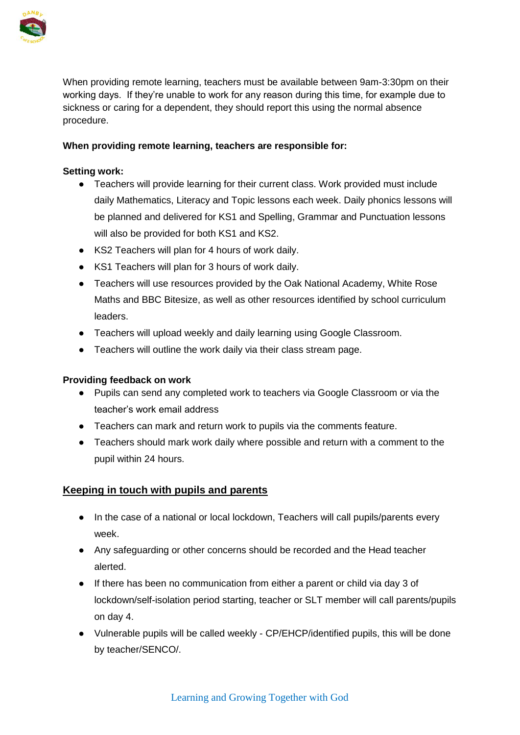

When providing remote learning, teachers must be available between 9am-3:30pm on their working days. If they're unable to work for any reason during this time, for example due to sickness or caring for a dependent, they should report this using the normal absence procedure.

#### **When providing remote learning, teachers are responsible for:**

#### **Setting work:**

- Teachers will provide learning for their current class. Work provided must include daily Mathematics, Literacy and Topic lessons each week. Daily phonics lessons will be planned and delivered for KS1 and Spelling, Grammar and Punctuation lessons will also be provided for both KS1 and KS2.
- KS2 Teachers will plan for 4 hours of work daily.
- KS1 Teachers will plan for 3 hours of work daily.
- Teachers will use resources provided by the Oak National Academy, White Rose Maths and BBC Bitesize, as well as other resources identified by school curriculum leaders.
- Teachers will upload weekly and daily learning using Google Classroom.
- Teachers will outline the work daily via their class stream page.

#### **Providing feedback on work**

- Pupils can send any completed work to teachers via Google Classroom or via the teacher's work email address
- Teachers can mark and return work to pupils via the comments feature.
- Teachers should mark work daily where possible and return with a comment to the pupil within 24 hours.

## **Keeping in touch with pupils and parents**

- In the case of a national or local lockdown, Teachers will call pupils/parents every week.
- Any safeguarding or other concerns should be recorded and the Head teacher alerted.
- If there has been no communication from either a parent or child via day 3 of lockdown/self-isolation period starting, teacher or SLT member will call parents/pupils on day 4.
- Vulnerable pupils will be called weekly CP/EHCP/identified pupils, this will be done by teacher/SENCO/.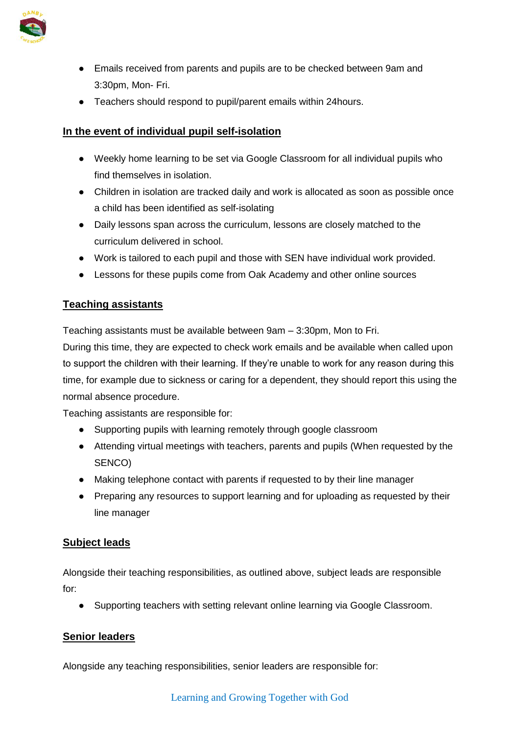

- Emails received from parents and pupils are to be checked between 9am and 3:30pm, Mon- Fri.
- Teachers should respond to pupil/parent emails within 24hours.

#### **In the event of individual pupil self-isolation**

- Weekly home learning to be set via Google Classroom for all individual pupils who find themselves in isolation.
- Children in isolation are tracked daily and work is allocated as soon as possible once a child has been identified as self-isolating
- Daily lessons span across the curriculum, lessons are closely matched to the curriculum delivered in school.
- Work is tailored to each pupil and those with SEN have individual work provided.
- Lessons for these pupils come from Oak Academy and other online sources

#### **Teaching assistants**

Teaching assistants must be available between 9am – 3:30pm, Mon to Fri.

During this time, they are expected to check work emails and be available when called upon to support the children with their learning. If they're unable to work for any reason during this time, for example due to sickness or caring for a dependent, they should report this using the normal absence procedure.

Teaching assistants are responsible for:

- Supporting pupils with learning remotely through google classroom
- Attending virtual meetings with teachers, parents and pupils (When requested by the SENCO)
- Making telephone contact with parents if requested to by their line manager
- Preparing any resources to support learning and for uploading as requested by their line manager

#### **Subject leads**

Alongside their teaching responsibilities, as outlined above, subject leads are responsible for:

● Supporting teachers with setting relevant online learning via Google Classroom.

#### **Senior leaders**

Alongside any teaching responsibilities, senior leaders are responsible for: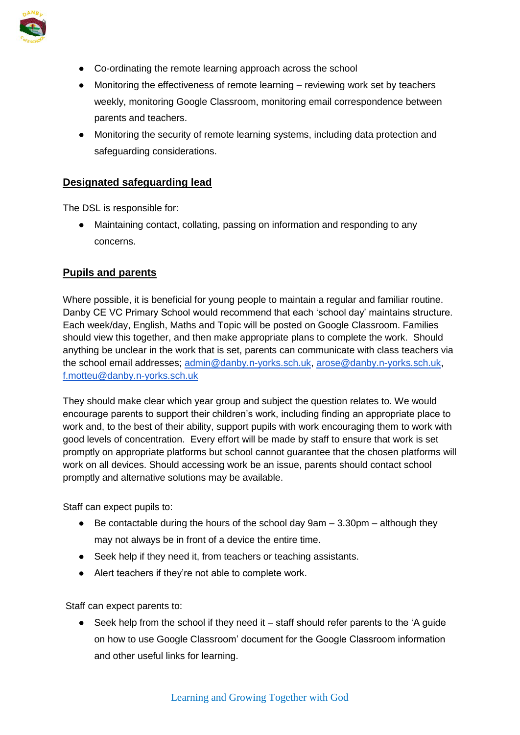

- Co-ordinating the remote learning approach across the school
- Monitoring the effectiveness of remote learning reviewing work set by teachers weekly, monitoring Google Classroom, monitoring email correspondence between parents and teachers.
- Monitoring the security of remote learning systems, including data protection and safeguarding considerations.

#### **Designated safeguarding lead**

The DSL is responsible for:

● Maintaining contact, collating, passing on information and responding to any concerns.

#### **Pupils and parents**

Where possible, it is beneficial for young people to maintain a regular and familiar routine. Danby CE VC Primary School would recommend that each 'school day' maintains structure. Each week/day, English, Maths and Topic will be posted on Google Classroom. Families should view this together, and then make appropriate plans to complete the work. Should anything be unclear in the work that is set, parents can communicate with class teachers via the school email addresses; [admin@danby.n-yorks.sch.uk,](mailto:admin@danby.n-yorks.sch.uk) [arose@danby.n-yorks.sch.uk,](mailto:arose@danby.n-yorks.sch.uk) [f.motteu@danby.n-yorks.sch.uk](mailto:f.motteu@danby.n-yorks.sch.uk)

They should make clear which year group and subject the question relates to. We would encourage parents to support their children's work, including finding an appropriate place to work and, to the best of their ability, support pupils with work encouraging them to work with good levels of concentration. Every effort will be made by staff to ensure that work is set promptly on appropriate platforms but school cannot guarantee that the chosen platforms will work on all devices. Should accessing work be an issue, parents should contact school promptly and alternative solutions may be available.

Staff can expect pupils to:

- $\bullet$  Be contactable during the hours of the school day 9am  $-$  3.30pm  $-$  although they may not always be in front of a device the entire time.
- Seek help if they need it, from teachers or teaching assistants.
- Alert teachers if they're not able to complete work.

Staff can expect parents to:

● Seek help from the school if they need it – staff should refer parents to the 'A guide on how to use Google Classroom' document for the Google Classroom information and other useful links for learning.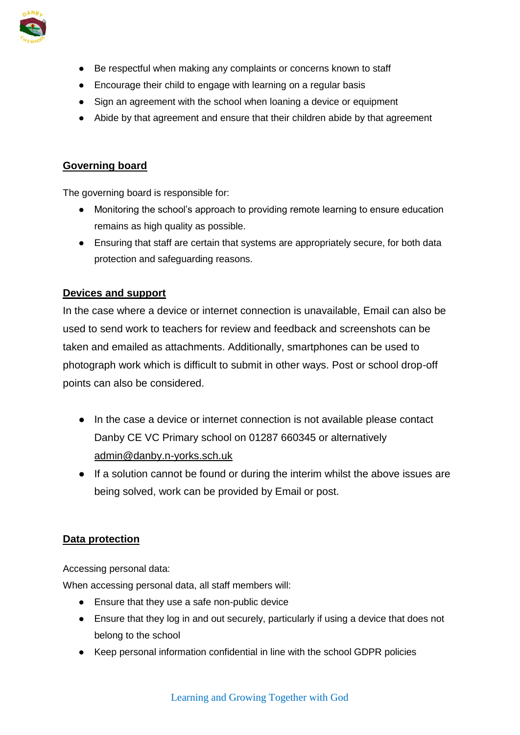

- Be respectful when making any complaints or concerns known to staff
- Encourage their child to engage with learning on a regular basis
- Sign an agreement with the school when loaning a device or equipment
- Abide by that agreement and ensure that their children abide by that agreement

## **Governing board**

The governing board is responsible for:

- Monitoring the school's approach to providing remote learning to ensure education remains as high quality as possible.
- Ensuring that staff are certain that systems are appropriately secure, for both data protection and safeguarding reasons.

## **Devices and support**

In the case where a device or internet connection is unavailable, Email can also be used to send work to teachers for review and feedback and screenshots can be taken and emailed as attachments. Additionally, smartphones can be used to photograph work which is difficult to submit in other ways. Post or school drop-off points can also be considered.

- In the case a device or internet connection is not available please contact Danby CE VC Primary school on 01287 660345 or alternatively [admin@danby.n-yorks.sch.uk](mailto:admin@egton.n-yorks.sch.uk)
- If a solution cannot be found or during the interim whilst the above issues are being solved, work can be provided by Email or post.

## **Data protection**

Accessing personal data:

When accessing personal data, all staff members will:

- Ensure that they use a safe non-public device
- Ensure that they log in and out securely, particularly if using a device that does not belong to the school
- Keep personal information confidential in line with the school GDPR policies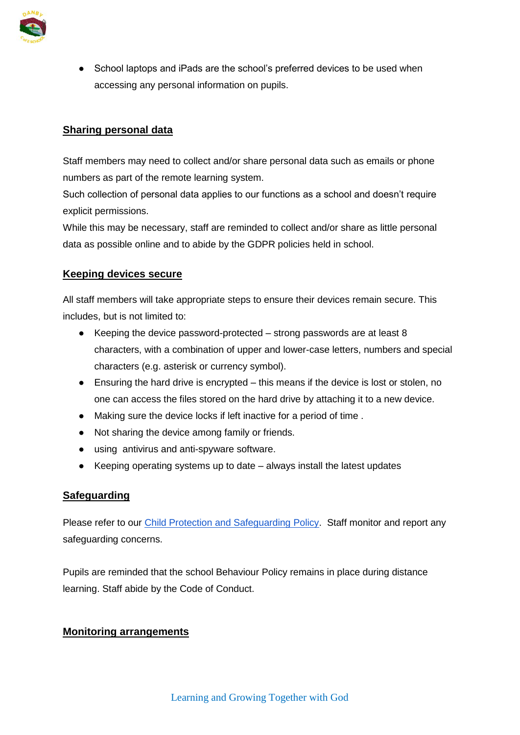

• School laptops and iPads are the school's preferred devices to be used when accessing any personal information on pupils.

## **Sharing personal data**

Staff members may need to collect and/or share personal data such as emails or phone numbers as part of the remote learning system.

Such collection of personal data applies to our functions as a school and doesn't require explicit permissions.

While this may be necessary, staff are reminded to collect and/or share as little personal data as possible online and to abide by the GDPR policies held in school.

## **Keeping devices secure**

All staff members will take appropriate steps to ensure their devices remain secure. This includes, but is not limited to:

- $\bullet$  Keeping the device password-protected strong passwords are at least 8 characters, with a combination of upper and lower-case letters, numbers and special characters (e.g. asterisk or currency symbol).
- Ensuring the hard drive is encrypted this means if the device is lost or stolen, no one can access the files stored on the hard drive by attaching it to a new device.
- Making sure the device locks if left inactive for a period of time .
- Not sharing the device among family or friends.
- using antivirus and anti-spyware software.
- Keeping operating systems up to date always install the latest updates

## **Safeguarding**

Please refer to our [Child Protection and Safeguarding Policy.](https://d3hgrlq6yacptf.cloudfront.net/5f44f9be5d40b/content/pages/documents/1592830339.pdf) Staff monitor and report any safeguarding concerns.

Pupils are reminded that the school Behaviour Policy remains in place during distance learning. Staff abide by the Code of Conduct.

#### **Monitoring arrangements**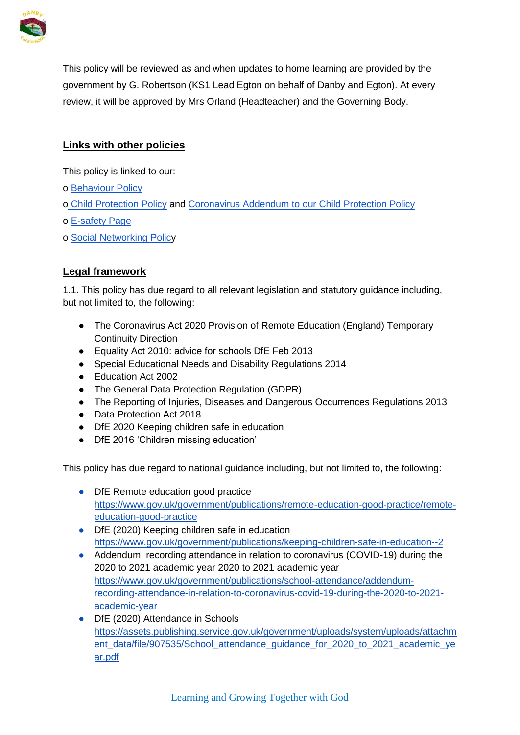

This policy will be reviewed as and when updates to home learning are provided by the government by G. Robertson (KS1 Lead Egton on behalf of Danby and Egton). At every review, it will be approved by Mrs Orland (Headteacher) and the Governing Body.

## **Links with other policies**

This policy is linked to our:

- o [Behaviour Policy](https://d3hgrlq6yacptf.cloudfront.net/5f44f9be5d40b/content/pages/documents/1585648233.pdf)
- o [Child Protection Policy](https://d3hgrlq6yacptf.cloudfront.net/5f44f9be5d40b/content/pages/documents/1605884839.pdf) and [Coronavirus Addendum to our Child Protection Policy](https://d3hgrlq6yacptf.cloudfront.net/5f44f9be5d40b/content/pages/documents/1592830339.pdf)
- o [E-safety Page](https://www.danbyceprimary.co.uk/information-and-newsletters/esafety/)
- o [Social Networking Policy](https://d3hgrlq6yacptf.cloudfront.net/5f44f9be5d40b/content/pages/documents/1605884348.pdf)

## **Legal framework**

1.1. This policy has due regard to all relevant legislation and statutory guidance including, but not limited to, the following:

- The Coronavirus Act 2020 Provision of Remote Education (England) Temporary Continuity Direction
- Equality Act 2010: advice for schools DfE Feb 2013
- Special Educational Needs and Disability Regulations 2014
- Education Act 2002
- The General Data Protection Regulation (GDPR)
- The Reporting of Injuries, Diseases and Dangerous Occurrences Regulations 2013
- Data Protection Act 2018
- DfE 2020 Keeping children safe in education
- DfE 2016 'Children missing education'

This policy has due regard to national guidance including, but not limited to, the following:

- DfE R[e](https://www.gov.uk/government/publications/remote-education-good-practice/remote-education-good-practice)mote education good practice [https://www.gov.uk/government/publications/remote-education-good-practice/remote](https://www.gov.uk/government/publications/remote-education-good-practice/remote-education-good-practice)[education-good-practice](https://www.gov.uk/government/publications/remote-education-good-practice/remote-education-good-practice)
- DfE (2020) Keepi[n](https://www.gov.uk/government/publications/keeping-children-safe-in-education--2)g children safe in education <https://www.gov.uk/government/publications/keeping-children-safe-in-education--2>
- Addendum: recording attendance in relation to coronavirus (COVID-19) during the 2020 to 2021 academic year 2020 to 2021 academic yea[r](https://www.gov.uk/government/publications/school-attendance/addendum-recording-attendance-in-relation-to-coronavirus-covid-19-during-the-2020-to-2021-academic-year) [https://www.gov.uk/government/publications/school-attendance/addendum](https://www.gov.uk/government/publications/school-attendance/addendum-recording-attendance-in-relation-to-coronavirus-covid-19-during-the-2020-to-2021-academic-year)[recording-attendance-in-relation-to-coronavirus-covid-19-during-the-2020-to-2021](https://www.gov.uk/government/publications/school-attendance/addendum-recording-attendance-in-relation-to-coronavirus-covid-19-during-the-2020-to-2021-academic-year) [academic-year](https://www.gov.uk/government/publications/school-attendance/addendum-recording-attendance-in-relation-to-coronavirus-covid-19-during-the-2020-to-2021-academic-year)
- DfE (2020) Attendance in School[s](https://assets.publishing.service.gov.uk/government/uploads/system/uploads/attachment_data/file/907535/School_attendance_guidance_for_2020_to_2021_academic_year.pdf) [https://assets.publishing.service.gov.uk/government/uploads/system/uploads/attachm](https://assets.publishing.service.gov.uk/government/uploads/system/uploads/attachment_data/file/907535/School_attendance_guidance_for_2020_to_2021_academic_year.pdf) [ent\\_data/file/907535/School\\_attendance\\_guidance\\_for\\_2020\\_to\\_2021\\_academic\\_ye](https://assets.publishing.service.gov.uk/government/uploads/system/uploads/attachment_data/file/907535/School_attendance_guidance_for_2020_to_2021_academic_year.pdf) [ar.pdf](https://assets.publishing.service.gov.uk/government/uploads/system/uploads/attachment_data/file/907535/School_attendance_guidance_for_2020_to_2021_academic_year.pdf)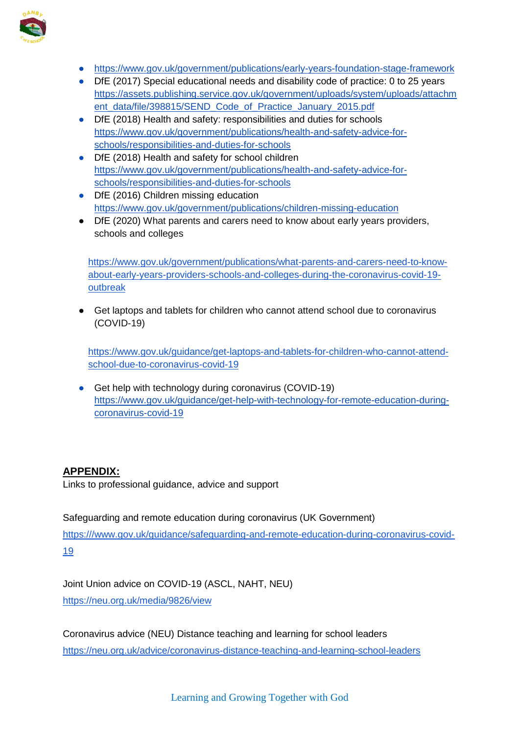

- <https://www.gov.uk/government/publications/early-years-foundation-stage-framework>
- DfE (2017) Special educational needs and disability code of practice: 0 to 25 year[s](https://assets.publishing.service.gov.uk/government/uploads/system/uploads/attachment_data/file/398815/SEND_Code_of_Practice_January_2015.pdf) [https://assets.publishing.service.gov.uk/government/uploads/system/uploads/attachm](https://assets.publishing.service.gov.uk/government/uploads/system/uploads/attachment_data/file/398815/SEND_Code_of_Practice_January_2015.pdf) ent\_data/file/398815/SEND\_Code\_of\_Practice\_January\_2015.pdf
- DfE (2018) Health and safety: responsibilities and duties for schools [https://www.gov.uk/government/publications/health-and-safety-advice-for](https://www.gov.uk/government/publications/health-and-safety-advice-for-schools/responsibilities-and-duties-for-schools)[schools/responsibilities-and-duties-for-schools](https://www.gov.uk/government/publications/health-and-safety-advice-for-schools/responsibilities-and-duties-for-schools)
- DfE (2018) Health a[n](https://www.gov.uk/government/publications/health-and-safety-advice-for-schools/responsibilities-and-duties-for-schools)d safety for school children [https://www.gov.uk/government/publications/health-and-safety-advice-for](https://www.gov.uk/government/publications/health-and-safety-advice-for-schools/responsibilities-and-duties-for-schools)[schools/responsibilities-and-duties-for-schools](https://www.gov.uk/government/publications/health-and-safety-advice-for-schools/responsibilities-and-duties-for-schools)
- DfE (2016) Childre[n](https://www.gov.uk/government/publications/children-missing-education) missing education <https://www.gov.uk/government/publications/children-missing-education>
- DfE (2020) What parents and carers need to know about early years providers, schools and colleges

[https://www.gov.uk/government/publications/what-parents-and-carers-need-to-know](https://www.gov.uk/government/publications/what-parents-and-carers-need-to-know-about-early-years-providers-schools-and-colleges-during-the-coronavirus-covid-19-outbreak)[about-early-years-providers-schools-and-colleges-during-the-coronavirus-covid-19](https://www.gov.uk/government/publications/what-parents-and-carers-need-to-know-about-early-years-providers-schools-and-colleges-during-the-coronavirus-covid-19-outbreak) [outbreak](https://www.gov.uk/government/publications/what-parents-and-carers-need-to-know-about-early-years-providers-schools-and-colleges-during-the-coronavirus-covid-19-outbreak)

● Get laptops and tablets for children who cannot attend school due to coronavirus (COVID-19)

[https://www.gov.uk/guidance/get-laptops-and-tablets-for-children-who-cannot-attend](https://www.gov.uk/guidance/get-laptops-and-tablets-for-children-who-cannot-attend-school-due-to-coronavirus-covid-19)[school-due-to-coronavirus-covid-19](https://www.gov.uk/guidance/get-laptops-and-tablets-for-children-who-cannot-attend-school-due-to-coronavirus-covid-19)

● Get help with technology during coronavirus (COVID-19[\)](https://www.gov.uk/guidance/get-help-with-technology-for-remote-education-during-coronavirus-covid-19) [https://www.gov.uk/guidance/get-help-with-technology-for-remote-education-during](https://www.gov.uk/guidance/get-help-with-technology-for-remote-education-during-coronavirus-covid-19)[coronavirus-covid-19](https://www.gov.uk/guidance/get-help-with-technology-for-remote-education-during-coronavirus-covid-19)

# **APPENDIX:**

Links to professional guidance, advice and support

Safeguarding and remote education during coronavirus (UK Government) [https:///www.gov.uk/guidance/safeguarding-and-remote-education-during-coronavirus-covid-](about:blank)[19](about:blank)

Joint Union advice on COVID-19 (ASCL, NAHT, NEU) <https://neu.org.uk/media/9826/view>

Coronavirus advice (NEU) Distance teaching and learning for school leaders <https://neu.org.uk/advice/coronavirus-distance-teaching-and-learning-school-leaders>